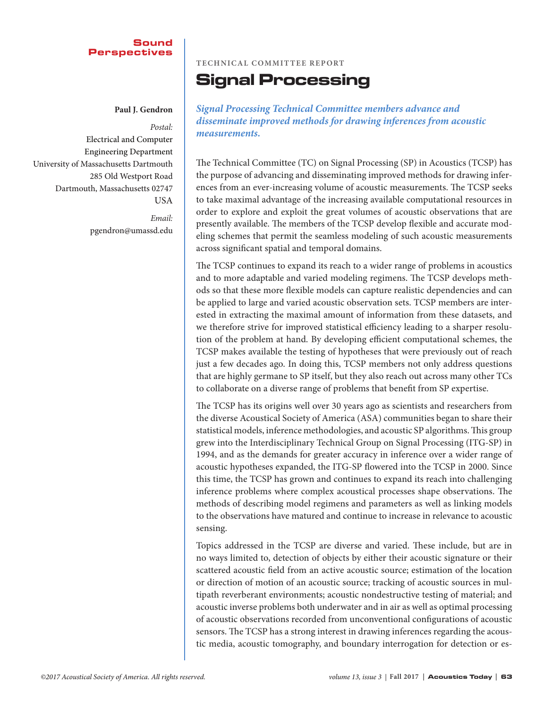## Sound Perspectives

 **Paul J. Gendron**

*Postal:* Electrical and Computer Engineering Department University of Massachusetts Dartmouth 285 Old Westport Road Dartmouth, Massachusetts 02747 USA

> *Email:* pgendron@umassd.edu

# **Technical Committee Report**

# Signal Processing

*Signal Processing Technical Committee members advance and disseminate improved methods for drawing inferences from acoustic measurements.*

The Technical Committee (TC) on Signal Processing (SP) in Acoustics (TCSP) has the purpose of advancing and disseminating improved methods for drawing inferences from an ever-increasing volume of acoustic measurements. The TCSP seeks to take maximal advantage of the increasing available computational resources in order to explore and exploit the great volumes of acoustic observations that are presently available. The members of the TCSP develop flexible and accurate modeling schemes that permit the seamless modeling of such acoustic measurements across significant spatial and temporal domains.

The TCSP continues to expand its reach to a wider range of problems in acoustics and to more adaptable and varied modeling regimens. The TCSP develops methods so that these more flexible models can capture realistic dependencies and can be applied to large and varied acoustic observation sets. TCSP members are interested in extracting the maximal amount of information from these datasets, and we therefore strive for improved statistical efficiency leading to a sharper resolution of the problem at hand. By developing efficient computational schemes, the TCSP makes available the testing of hypotheses that were previously out of reach just a few decades ago. In doing this, TCSP members not only address questions that are highly germane to SP itself, but they also reach out across many other TCs to collaborate on a diverse range of problems that benefit from SP expertise.

The TCSP has its origins well over 30 years ago as scientists and researchers from the diverse Acoustical Society of America (ASA) communities began to share their statistical models, inference methodologies, and acoustic SP algorithms. This group grew into the Interdisciplinary Technical Group on Signal Processing (ITG-SP) in 1994, and as the demands for greater accuracy in inference over a wider range of acoustic hypotheses expanded, the ITG-SP flowered into the TCSP in 2000. Since this time, the TCSP has grown and continues to expand its reach into challenging inference problems where complex acoustical processes shape observations. The methods of describing model regimens and parameters as well as linking models to the observations have matured and continue to increase in relevance to acoustic sensing.

Topics addressed in the TCSP are diverse and varied. These include, but are in no ways limited to, detection of objects by either their acoustic signature or their scattered acoustic field from an active acoustic source; estimation of the location or direction of motion of an acoustic source; tracking of acoustic sources in multipath reverberant environments; acoustic nondestructive testing of material; and acoustic inverse problems both underwater and in air as well as optimal processing of acoustic observations recorded from unconventional configurations of acoustic sensors. The TCSP has a strong interest in drawing inferences regarding the acoustic media, acoustic tomography, and boundary interrogation for detection or es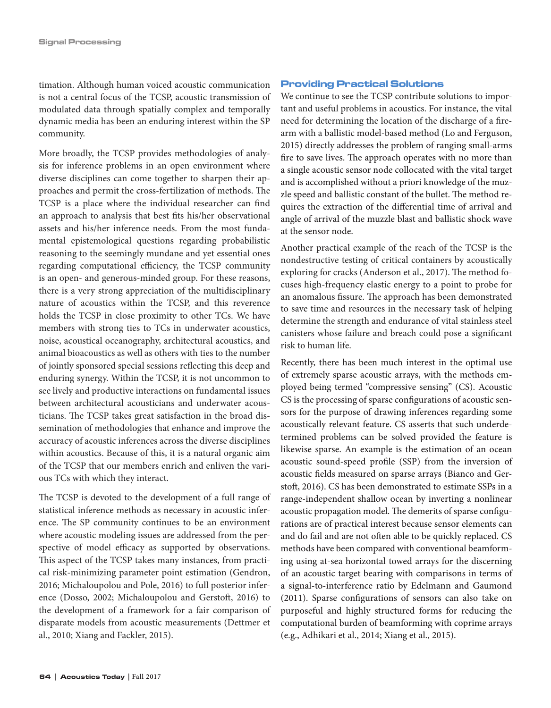timation. Although human voiced acoustic communication is not a central focus of the TCSP, acoustic transmission of modulated data through spatially complex and temporally dynamic media has been an enduring interest within the SP community.

More broadly, the TCSP provides methodologies of analysis for inference problems in an open environment where diverse disciplines can come together to sharpen their approaches and permit the cross-fertilization of methods. The TCSP is a place where the individual researcher can find an approach to analysis that best fits his/her observational assets and his/her inference needs. From the most fundamental epistemological questions regarding probabilistic reasoning to the seemingly mundane and yet essential ones regarding computational efficiency, the TCSP community is an open- and generous-minded group. For these reasons, there is a very strong appreciation of the multidisciplinary nature of acoustics within the TCSP, and this reverence holds the TCSP in close proximity to other TCs. We have members with strong ties to TCs in underwater acoustics, noise, acoustical oceanography, architectural acoustics, and animal bioacoustics as well as others with ties to the number of jointly sponsored special sessions reflecting this deep and enduring synergy. Within the TCSP, it is not uncommon to see lively and productive interactions on fundamental issues between architectural acousticians and underwater acousticians. The TCSP takes great satisfaction in the broad dissemination of methodologies that enhance and improve the accuracy of acoustic inferences across the diverse disciplines within acoustics. Because of this, it is a natural organic aim of the TCSP that our members enrich and enliven the various TCs with which they interact.

The TCSP is devoted to the development of a full range of statistical inference methods as necessary in acoustic inference. The SP community continues to be an environment where acoustic modeling issues are addressed from the perspective of model efficacy as supported by observations. This aspect of the TCSP takes many instances, from practical risk-minimizing parameter point estimation (Gendron, 2016; Michaloupolou and Pole, 2016) to full posterior inference (Dosso, 2002; Michaloupolou and Gerstoft, 2016) to the development of a framework for a fair comparison of disparate models from acoustic measurements (Dettmer et al., 2010; Xiang and Fackler, 2015).

#### Providing Practical Solutions

We continue to see the TCSP contribute solutions to important and useful problems in acoustics. For instance, the vital need for determining the location of the discharge of a firearm with a ballistic model-based method (Lo and Ferguson, 2015) directly addresses the problem of ranging small-arms fire to save lives. The approach operates with no more than a single acoustic sensor node collocated with the vital target and is accomplished without a priori knowledge of the muzzle speed and ballistic constant of the bullet. The method requires the extraction of the differential time of arrival and angle of arrival of the muzzle blast and ballistic shock wave at the sensor node.

Another practical example of the reach of the TCSP is the nondestructive testing of critical containers by acoustically exploring for cracks (Anderson et al., 2017). The method focuses high-frequency elastic energy to a point to probe for an anomalous fissure. The approach has been demonstrated to save time and resources in the necessary task of helping determine the strength and endurance of vital stainless steel canisters whose failure and breach could pose a significant risk to human life.

Recently, there has been much interest in the optimal use of extremely sparse acoustic arrays, with the methods employed being termed "compressive sensing" (CS). Acoustic CS is the processing of sparse configurations of acoustic sensors for the purpose of drawing inferences regarding some acoustically relevant feature. CS asserts that such underdetermined problems can be solved provided the feature is likewise sparse. An example is the estimation of an ocean acoustic sound-speed profile (SSP) from the inversion of acoustic fields measured on sparse arrays (Bianco and Gerstoft, 2016). CS has been demonstrated to estimate SSPs in a range-independent shallow ocean by inverting a nonlinear acoustic propagation model. The demerits of sparse configurations are of practical interest because sensor elements can and do fail and are not often able to be quickly replaced. CS methods have been compared with conventional beamforming using at-sea horizontal towed arrays for the discerning of an acoustic target bearing with comparisons in terms of a signal-to-interference ratio by Edelmann and Gaumond (2011). Sparse configurations of sensors can also take on purposeful and highly structured forms for reducing the computational burden of beamforming with coprime arrays (e.g., Adhikari et al., 2014; Xiang et al., 2015).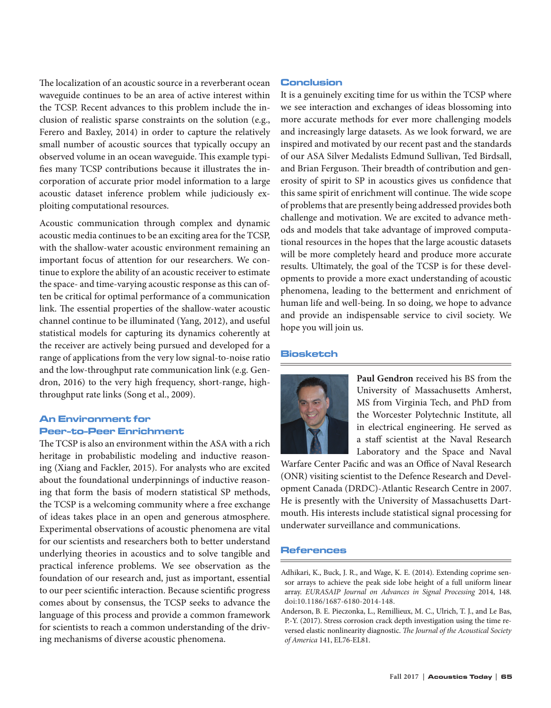The localization of an acoustic source in a reverberant ocean waveguide continues to be an area of active interest within the TCSP. Recent advances to this problem include the inclusion of realistic sparse constraints on the solution (e.g., Ferero and Baxley, 2014) in order to capture the relatively small number of acoustic sources that typically occupy an observed volume in an ocean waveguide. This example typifies many TCSP contributions because it illustrates the incorporation of accurate prior model information to a large acoustic dataset inference problem while judiciously exploiting computational resources.

Acoustic communication through complex and dynamic acoustic media continues to be an exciting area for the TCSP, with the shallow-water acoustic environment remaining an important focus of attention for our researchers. We continue to explore the ability of an acoustic receiver to estimate the space- and time-varying acoustic response as this can often be critical for optimal performance of a communication link. The essential properties of the shallow-water acoustic channel continue to be illuminated (Yang, 2012), and useful statistical models for capturing its dynamics coherently at the receiver are actively being pursued and developed for a range of applications from the very low signal-to-noise ratio and the low-throughput rate communication link (e.g. Gendron, 2016) to the very high frequency, short-range, highthroughput rate links (Song et al., 2009).

# An Environment for Peer-to-Peer Enrichment

The TCSP is also an environment within the ASA with a rich heritage in probabilistic modeling and inductive reasoning (Xiang and Fackler, 2015). For analysts who are excited about the foundational underpinnings of inductive reasoning that form the basis of modern statistical SP methods, the TCSP is a welcoming community where a free exchange of ideas takes place in an open and generous atmosphere. Experimental observations of acoustic phenomena are vital for our scientists and researchers both to better understand underlying theories in acoustics and to solve tangible and practical inference problems. We see observation as the foundation of our research and, just as important, essential to our peer scientific interaction. Because scientific progress comes about by consensus, the TCSP seeks to advance the language of this process and provide a common framework for scientists to reach a common understanding of the driving mechanisms of diverse acoustic phenomena.

### Conclusion

It is a genuinely exciting time for us within the TCSP where we see interaction and exchanges of ideas blossoming into more accurate methods for ever more challenging models and increasingly large datasets. As we look forward, we are inspired and motivated by our recent past and the standards of our ASA Silver Medalists Edmund Sullivan, Ted Birdsall, and Brian Ferguson. Their breadth of contribution and generosity of spirit to SP in acoustics gives us confidence that this same spirit of enrichment will continue. The wide scope of problems that are presently being addressed provides both challenge and motivation. We are excited to advance methods and models that take advantage of improved computational resources in the hopes that the large acoustic datasets will be more completely heard and produce more accurate results. Ultimately, the goal of the TCSP is for these developments to provide a more exact understanding of acoustic phenomena, leading to the betterment and enrichment of human life and well-being. In so doing, we hope to advance and provide an indispensable service to civil society. We hope you will join us.

#### **Biosketch**



**Paul Gendron** received his BS from the University of Massachusetts Amherst, MS from Virginia Tech, and PhD from the Worcester Polytechnic Institute, all in electrical engineering. He served as a staff scientist at the Naval Research Laboratory and the Space and Naval

Warfare Center Pacific and was an Office of Naval Research (ONR) visiting scientist to the Defence Research and Development Canada (DRDC)-Atlantic Research Centre in 2007. He is presently with the University of Massachusetts Dartmouth. His interests include statistical signal processing for underwater surveillance and communications.

#### References

Adhikari, K., Buck, J. R., and Wage, K. E. (2014). Extending coprime sensor arrays to achieve the peak side lobe height of a full uniform linear array. *EURASAIP Journal on Advances in Signal Processing* 2014, 148. doi:10.1186/1687-6180-2014-148.

Anderson, B. E. Pieczonka, L., Remillieux, M. C., Ulrich, T. J., and Le Bas, P.-Y. (2017). Stress corrosion crack depth investigation using the time reversed elastic nonlinearity diagnostic. *The Journal of the Acoustical Society of America* 141, EL76-EL81.